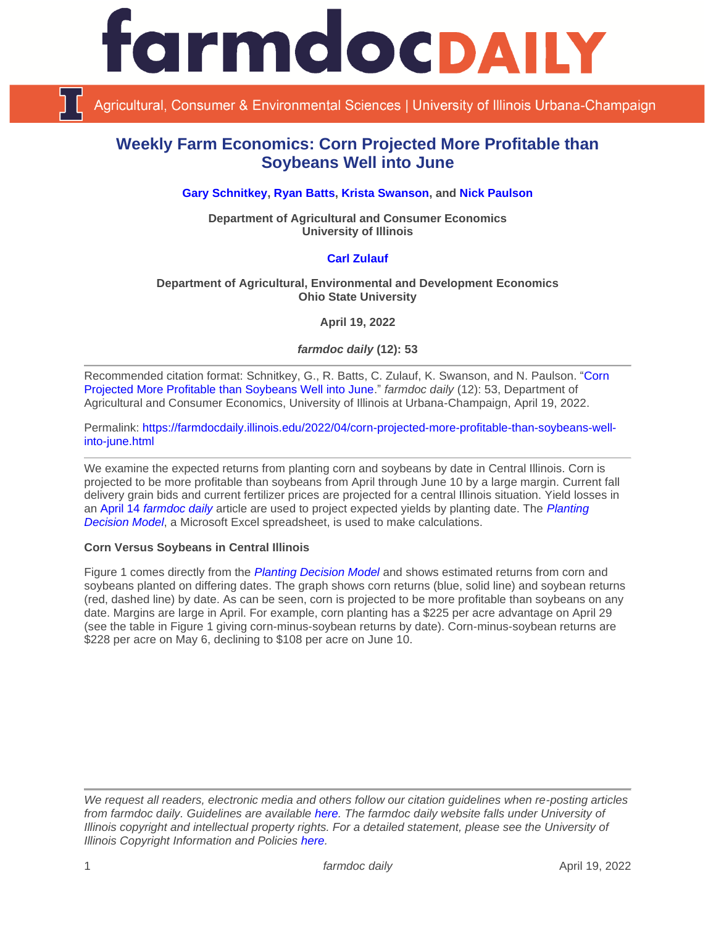

Agricultural, Consumer & Environmental Sciences | University of Illinois Urbana-Champaign

# **Weekly Farm Economics: Corn Projected More Profitable than Soybeans Well into June**

**[Gary Schnitkey,](https://ace.illinois.edu/directory/schnitke) [Ryan Batts,](https://ace.illinois.edu/directory/batts) [Krista Swanson,](https://ace.illinois.edu/directory/krista) and [Nick Paulson](https://ace.illinois.edu/directory/npaulson)**

**Department of Agricultural and Consumer Economics University of Illinois**

### **[Carl Zulauf](http://aede.osu.edu/our-people/carl-zulauf)**

#### **Department of Agricultural, Environmental and Development Economics Ohio State University**

**April 19, 2022**

*farmdoc daily* **(12): 53**

Recommended citation format: Schnitkey, G., R. Batts, C. Zulauf, K. Swanson, and N. Paulson. ["Corn](https://farmdocdaily.illinois.edu/2022/04/corn-projected-more-profitable-than-soybeans-well-into-june.html)  [Projected More Profitable than Soybeans Well into June.](https://farmdocdaily.illinois.edu/2022/04/corn-projected-more-profitable-than-soybeans-well-into-june.html)" *farmdoc daily* (12): 53, Department of Agricultural and Consumer Economics, University of Illinois at Urbana-Champaign, April 19, 2022.

Permalink: [https://farmdocdaily.illinois.edu/2022/04/corn-projected-more-profitable-than-soybeans-well](https://farmdocdaily.illinois.edu/2022/04/corn-projected-more-profitable-than-soybeans-well-into-june.html)[into-june.html](https://farmdocdaily.illinois.edu/2022/04/corn-projected-more-profitable-than-soybeans-well-into-june.html)

We examine the expected returns from planting corn and soybeans by date in Central Illinois. Corn is projected to be more profitable than soybeans from April through June 10 by a large margin. Current fall delivery grain bids and current fertilizer prices are projected for a central Illinois situation. Yield losses in an April 14 *[farmdoc daily](https://farmdocdaily.illinois.edu/2022/04/what-do-we-know-about-planting-dates-and-corn-and-soybean-yield-from-agronomic-field-trials.html)* article are used to project expected yields by planting date. The *[Planting](https://farmdoc.illinois.edu/fast-tools/planting-decision-model)  [Decision Model](https://farmdoc.illinois.edu/fast-tools/planting-decision-model)*, a Microsoft Excel spreadsheet, is used to make calculations.

#### **Corn Versus Soybeans in Central Illinois**

Figure 1 comes directly from the *[Planting Decision Model](https://farmdoc.illinois.edu/fast-tools/planting-decision-model)* and shows estimated returns from corn and soybeans planted on differing dates. The graph shows corn returns (blue, solid line) and soybean returns (red, dashed line) by date. As can be seen, corn is projected to be more profitable than soybeans on any date. Margins are large in April. For example, corn planting has a \$225 per acre advantage on April 29 (see the table in Figure 1 giving corn-minus-soybean returns by date). Corn-minus-soybean returns are \$228 per acre on May 6, declining to \$108 per acre on June 10.

*We request all readers, electronic media and others follow our citation guidelines when re-posting articles from farmdoc daily. Guidelines are available [here.](http://farmdocdaily.illinois.edu/citationguide.html) The farmdoc daily website falls under University of Illinois copyright and intellectual property rights. For a detailed statement, please see the University of Illinois Copyright Information and Policies [here.](http://www.cio.illinois.edu/policies/copyright/)*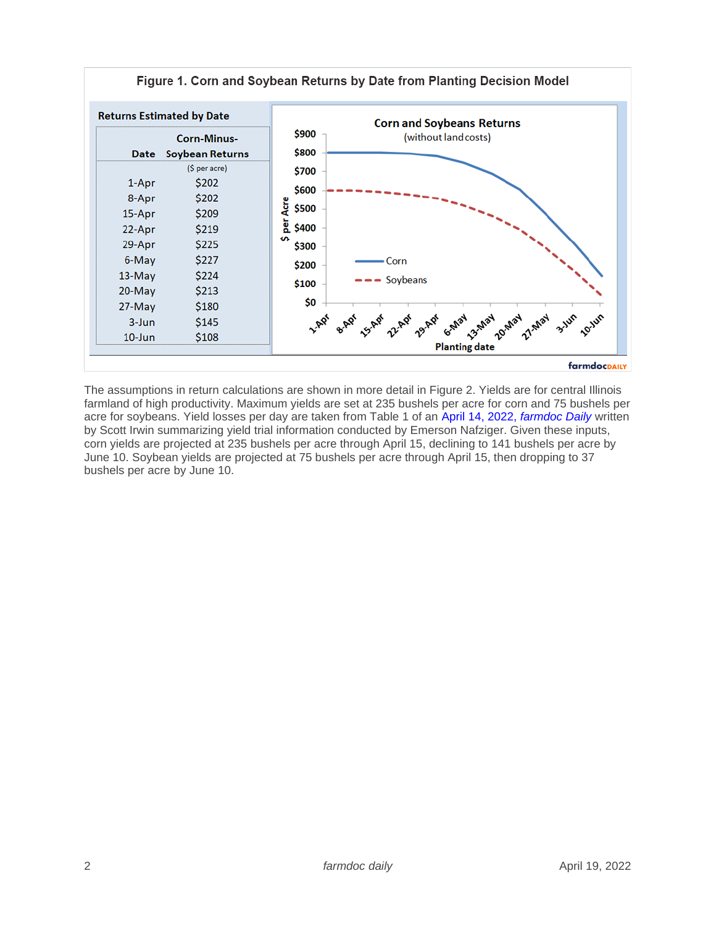

The assumptions in return calculations are shown in more detail in Figure 2. Yields are for central Illinois farmland of high productivity. Maximum yields are set at 235 bushels per acre for corn and 75 bushels per acre for soybeans. Yield losses per day are taken from Table 1 of an [April 14, 2022,](https://farmdocdaily.illinois.edu/2022/04/what-do-we-know-about-planting-dates-and-corn-and-soybean-yield-from-agronomic-field-trials.html) *farmdoc Daily* written by Scott Irwin summarizing yield trial information conducted by Emerson Nafziger. Given these inputs, corn yields are projected at 235 bushels per acre through April 15, declining to 141 bushels per acre by June 10. Soybean yields are projected at 75 bushels per acre through April 15, then dropping to 37 bushels per acre by June 10.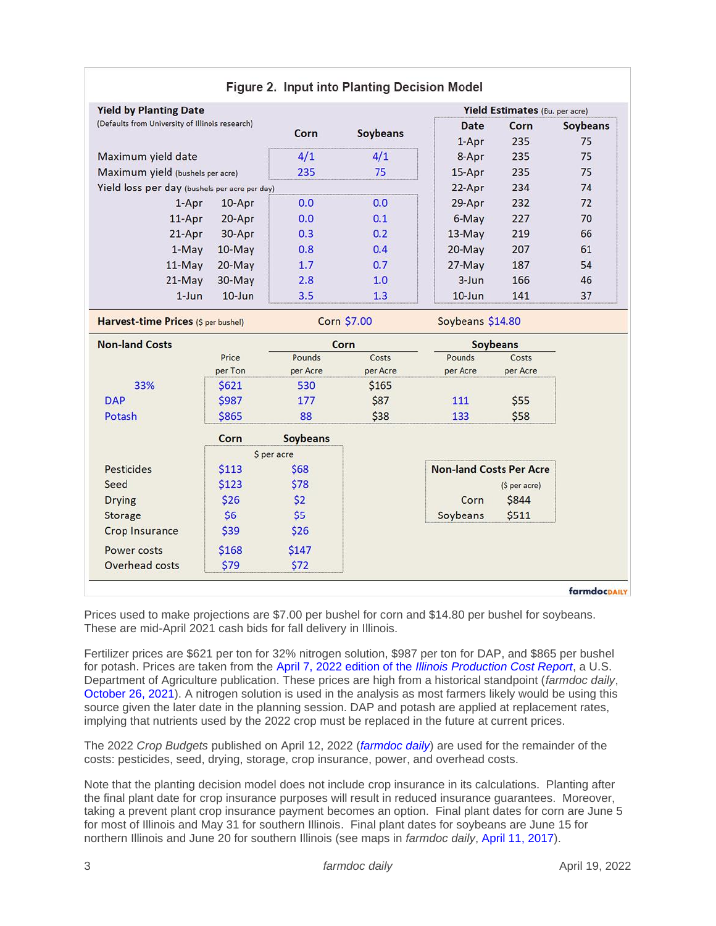| <b>Yield by Planting Date</b>                          |           |                    |                 | Yield Estimates (Bu. per acre) |                 |                 |
|--------------------------------------------------------|-----------|--------------------|-----------------|--------------------------------|-----------------|-----------------|
| (Defaults from University of Illinois research)        |           |                    |                 | <b>Date</b>                    | Corn            | <b>Soybeans</b> |
|                                                        |           | Corn               | <b>Soybeans</b> | $1-Apr$                        | 235             | 75              |
| Maximum yield date<br>Maximum yield (bushels per acre) |           | 4/1                | 4/1<br>75       | 8-Apr<br>$15-Apr$              | 235<br>235      | 75<br>75        |
|                                                        |           | 235                |                 |                                |                 |                 |
| Yield loss per day (bushels per acre per day)          |           |                    |                 | 22-Apr                         | 234             | 74              |
| $1-Apr$                                                | 10-Apr    | 0.0                | 0.0             | 29-Apr                         | 232             | 72              |
| $11-Apr$                                               | 20-Apr    | 0.0                | 0.1             | 6-May                          | 227             | 70              |
| 21-Apr                                                 | 30-Apr    | 0.3                | 0.2             | $13-May$                       | 219             | 66              |
| $1-May$                                                | $10$ -May | 0.8                | 0.4             | $20$ -May                      | 207             | 61              |
| $11-May$                                               | 20-May    | 1.7                | 0.7             | 27-May                         | 187             | 54              |
| $21-May$                                               | 30-May    | 2.8                | 1.0             | $3 - Jun$                      | 166             | 46              |
| $1 - Jun$                                              | $10$ -Jun | 3.5                | 1.3             | $10$ -Jun                      | 141             | 37              |
| Harvest-time Prices (\$ per bushel)                    |           | <b>Corn \$7.00</b> |                 | Soybeans \$14.80               |                 |                 |
| <b>Non-land Costs</b>                                  |           | Corn               |                 |                                | <b>Soybeans</b> |                 |
|                                                        | Price     | <b>Pounds</b>      | Costs           | Pounds                         | Costs           |                 |
|                                                        | per Ton   | per Acre           | per Acre        | per Acre                       | per Acre        |                 |
| 33%                                                    | \$621     | 530                | \$165           |                                |                 |                 |
| <b>DAP</b>                                             | \$987     | 177                | \$87            | 111                            | \$55            |                 |
| Potash                                                 | \$865     | 88                 | \$38            | 133                            | \$58            |                 |
|                                                        | Corn      | <b>Soybeans</b>    |                 |                                |                 |                 |
| \$ per acre                                            |           |                    |                 |                                |                 |                 |
| Pesticides                                             | \$113     | \$68               |                 | <b>Non-land Costs Per Acre</b> |                 |                 |
| Seed                                                   | \$123     | \$78               |                 |                                | (\$ per acre)   |                 |
| <b>Drying</b>                                          | \$26      | \$2                |                 | Corn                           | \$844           |                 |
| <b>Storage</b>                                         | \$6       | \$5                |                 | Soybeans                       | \$511           |                 |
| <b>Crop Insurance</b>                                  | \$39      | \$26               |                 |                                |                 |                 |
| <b>Power costs</b>                                     | \$168     | \$147              |                 |                                |                 |                 |
|                                                        |           |                    |                 |                                |                 |                 |

## $\blacksquare$  .  $\blacksquare$  . Let us the  $\blacksquare$  .  $\blacksquare$  .  $\blacksquare$  .  $\blacksquare$  .  $\blacksquare$  . It is that

farmdocpAILY

Prices used to make projections are \$7.00 per bushel for corn and \$14.80 per bushel for soybeans. These are mid-April 2021 cash bids for fall delivery in Illinois.

Fertilizer prices are \$621 per ton for 32% nitrogen solution, \$987 per ton for DAP, and \$865 per bushel for potash. Prices are taken from the April 7, 2022 edition of the *[Illinois Production Cost Report](https://mymarketnews.ams.usda.gov/filerepo/sites/default/files/3195/2022-04-07/575796/ams_3195_00057.pdf)*, a U.S. Department of Agriculture publication. These prices are high from a historical standpoint (*farmdoc daily*, [October 26, 2021\)](https://farmdocdaily.illinois.edu/2021/10/management-decisions-relative-to-high-nitrogen-fertilizer-prices.html). A nitrogen solution is used in the analysis as most farmers likely would be using this source given the later date in the planning session. DAP and potash are applied at replacement rates, implying that nutrients used by the 2022 crop must be replaced in the future at current prices.

The 2022 *Crop Budgets* published on April 12, 2022 (*[farmdoc daily](https://farmdocdaily.illinois.edu/2022/04/april-update-to-2022-crop-budgets-projected-profits-even-with-record-costs.html)*) are used for the remainder of the costs: pesticides, seed, drying, storage, crop insurance, power, and overhead costs.

Note that the planting decision model does not include crop insurance in its calculations. Planting after the final plant date for crop insurance purposes will result in reduced insurance guarantees. Moreover, taking a prevent plant crop insurance payment becomes an option. Final plant dates for corn are June 5 for most of Illinois and May 31 for southern Illinois. Final plant dates for soybeans are June 15 for northern Illinois and June 20 for southern Illinois (see maps in *farmdoc daily*, [April 11, 2017\)](https://farmdocdaily.illinois.edu/2017/04/earliest-planting-final-planting-dates-prevented.html).